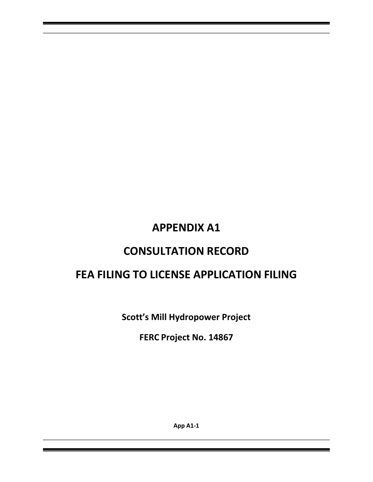# **APPENDIX A1**

# **CONSULTATION RECORD**

# **FEA FILING TO LICENSE APPLICATION FILING**

**Scott's Mill Hydropower Project**

**FERC Project No. 14867**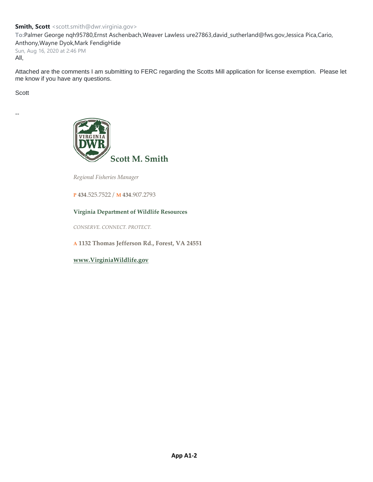**To:**Palmer George nqh95780,Ernst Aschenbach,Weaver Lawless ure27863,david\_sutherland@fws.gov,Jessica Pica,Cario, Anthony,Wayne Dyok,Mark FendigHide

Sun, Aug 16, 2020 at 2:46 PM All,

Attached are the comments I am submitting to FERC regarding the Scotts Mill application for license exemption. Please let me know if you have any questions.

Scott

--



*Regional Fisheries Manager*

**P 434**.525.7522 / **M 434**.907.2793

#### **Virginia Department of Wildlife Resources**

*CONSERVE. CONNECT. PROTECT.*

**A 1132 Thomas Jefferson Rd., Forest, VA 24551**

**[www.VirginiaWildlife.gov](http://www.dgif.virginia.gov/)**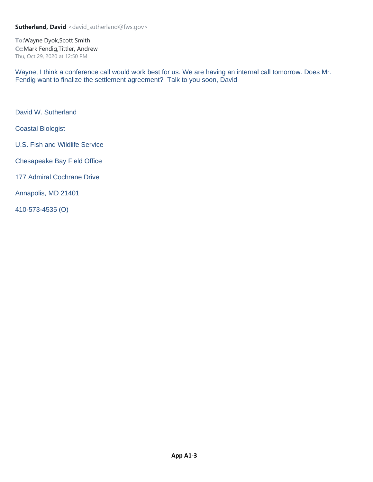

**COMMONWEALTH of VIRGINIA** 

Matthew J. Strickler Secretary of Natural Resources

**Department of Wildlife Resources** 

Ryan J. Brown **Executive Director** 

August 16, 2020

Secretary Kimberly D. Bose **Federal Energy Regulatory Commission** 888 First Street, NE Washington, DC 201426

#### Scotts Mill Hydroelectric Project (P-14867) - Application for New License Exemption Re: Virginia Dept. of Wildlife Resources Comments on Application for License Exemption

Dear Secretary Bose:

Thank you for the opportunity to provide input into the licensing process for the Scotts Mill Hydroelectric Project (P-14867). The mission of the Virginia Dept. of Wildlife Resources (DWR; formerly Dept. of Game and Inland Fisheries) is to conserve and manage wildlife populations and habitat, connect people to Virginia's outdoors, and protect people and property by promoting safe outdoor experiences. Additionally, VDWR is the state agency responsible for managing aquatic and terrestrial wildlife resources, including rare/listed species of fish and wildlife.

We have reviewed the documents submitted by Scotts Mill Hydro, LLC (Applicant). Based upon our review, and after extensive consultation with the Applicant and other stakeholders, we offer the following comments regarding the application. Additionally, we concur with the comments submitted by the U.S. Fish and Wildlife Service (USFWS) regarding this project.

Several aspects of this project are not fully developed, including fish passage facilities, recreational enhancements, fish entrainment/impingement, downstream habitat impacts, and others. We will work with the Applicant and stakeholders to adaptively manage these issues, as outlined in the Agreement in Principle (AIP) signed by the Applicant, USFWS, and DWR. We have listed specific areas of concern below, but believe that these issues will be cooperatively solved among the Applicant and stakeholders, based upon the AIP.

# **Fish Passage**

The Applicant has agreed to provide immediate, safe, and effective upstream passage for American Eel and Sea Lamprey, which we support. We request that this be included as a condition of the License Exemption.

The Applicant also intends to provide effective downstream passage for all species based upon the design of the powerhouse, using a similar design to that found on the Willamette Falls project. In theory, this design appears to be sound, but will need additional monitoring to determine its efficacy. Should downstream passage not prove to be effective, we would like to work with the Applicant to make modifications to the project to achieve a downstream passage success rate of approximately 95% (+/- 5%). We would ask that this be included as a condition of the License Exemption.

At the present time, other anadromous species (e.g., American Shad) are not present in the project area. However, they may become abundant enough at some point in the future to warrant fish passage efforts. As outlined in the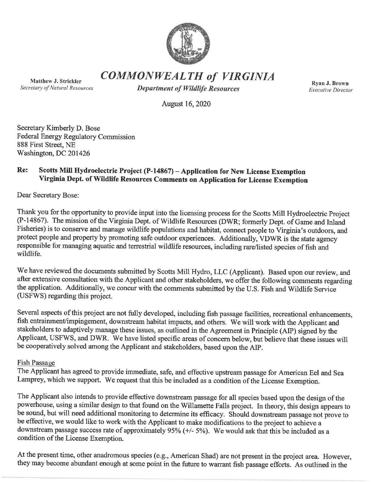AIP and the application for exemption, we agree to work with the Applicant and stakeholders to evaluate the future need for passage of anadromous and resident fish species. If we collectively determine such a need exists, we also agree to work with the Applicant to design suitable fish passage infrastructure to provide safe, timely, and effective passage for these species. Once the need is ascertained and the necessary infrastructure designed, we would suggest that this be constructed and operated by the Applicant, as outlined in the AIP and the application. We request that this be included among the conditions for the new License Exemption.

# **Recreational Enhancements**

The Applicant proposes to construct a canoe portage and bank fishing area at the dam, as well as a hardened boat ramp in the pool upstream from the dam. We fully support these proposals. However, as the land acquisition and engineering designs for these facilities are currently incomplete, there is the potential that some/all of these planned enhancements may not be feasible due to multiple possible issues (examples include inability to procure the necessary property, traffic engineering problems, construction design difficulties, etc.). Should that prove to be the case, we suggest the Applicant provide a bank fishing access (if the planned pier is not constructed) and/or a boat ramp (if the planned boat ramp is not constructed) at alternative locations on the James River (to be determined in consultation with USFWS and DWR). We request that this or similar language be included as a condition in the Exemption.

# Downstream Habitat and Water Quality

The Applicant proposes to provide a minimum  $\frac{1}{2}$ " veil of water over the spillway to maintain downstream habitat and water quality conditions, as well as locating the powerhouse in such a manner as to provide flows to the north (east) side of the river. Because the proposal has been based upon untested data, and because the powerhouse has yet to be installed and operated, actual conditions in the tailrace may differ from predicted ones. As a result, habitat and/or water quality conditions below the dam may be negatively altered as a result of operations. The applicant and the AIP both state that the Applicant will work with stakeholders to monitor habitat and water quality conditions below the dam once construction is completed and operations begin. Should we (Applicant, VDWR, USFWS, and Virginia Dept. of Environmental Quality) collectively determine that any alterations are unacceptable, we suggest the Applicant should modify the infrastructure and/or operations to correct these issues. This will require some level of adaptive management on the part of the Applicant and stakeholders. We ask that this be included as a condition of the License Exemption.

We greatly appreciate the opportunity to provide comments on the Application for License Exemption submitted by the Applicant. Should there be any questions, please contact Scott Smith at 434/525-7522 or scott.smith@dwr.virginia.gov.

Sincerely, Lat

Scott M. Smith **Regional Fisheries Manager** 

 $CC:$ G. Palmer - VDWR E. Aschenbach - VDWR A. Weaver - VDWR D. Sutherland - USFWS J. Pica - USFWS T. Carrio - VDEQ W. Dyok M. Fendig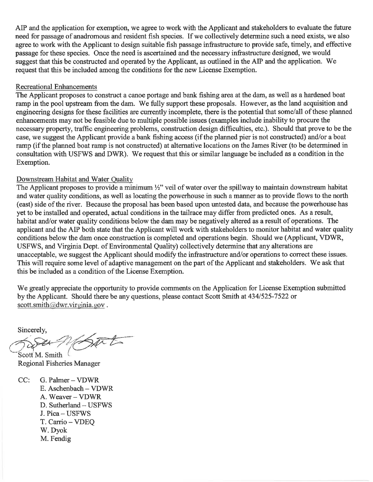# **Sutherland, David** <david\_sutherland@fws.gov>

**To:**Wayne Dyok,Scott Smith **Cc:**Mark Fendig,Tittler, Andrew Thu, Oct 29, 2020 at 12:50 PM

Wayne, I think a conference call would work best for us. We are having an internal call tomorrow. Does Mr. Fendig want to finalize the settlement agreement? Talk to you soon, David

David W. Sutherland

Coastal Biologist

U.S. Fish and Wildlife Service

Chesapeake Bay Field Office

177 Admiral Cochrane Drive

Annapolis, MD 21401

410-573-4535 (O)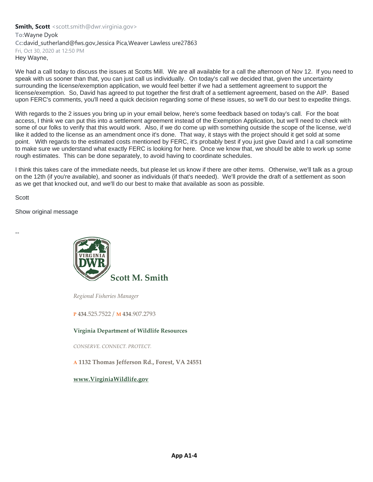**Smith, Scott** <scott.smith@dwr.virginia.gov> **To:**Wayne Dyok Cc:david\_sutherland@fws.gov,Jessica Pica,Weaver Lawless ure27863 Fri, Oct 30, 2020 at 12:50 PM Hey Wayne,

We had a call today to discuss the issues at Scotts Mill. We are all available for a call the afternoon of Nov 12. If you need to speak with us sooner than that, you can just call us individually. On today's call we decided that, given the uncertainty surrounding the license/exemption application, we would feel better if we had a settlement agreement to support the license/exemption. So, David has agreed to put together the first draft of a settlement agreement, based on the AIP. Based upon FERC's comments, you'll need a quick decision regarding some of these issues, so we'll do our best to expedite things.

With regards to the 2 issues you bring up in your email below, here's some feedback based on today's call. For the boat access, I think we can put this into a settlement agreement instead of the Exemption Application, but we'll need to check with some of our folks to verify that this would work. Also, if we do come up with something outside the scope of the license, we'd like it added to the license as an amendment once it's done. That way, it stays with the project should it get sold at some point. With regards to the estimated costs mentioned by FERC, it's probably best if you just give David and I a call sometime to make sure we understand what exactly FERC is looking for here. Once we know that, we should be able to work up some rough estimates. This can be done separately, to avoid having to coordinate schedules.

I think this takes care of the immediate needs, but please let us know if there are other items. Otherwise, we'll talk as a group on the 12th (if you're available), and sooner as individuals (if that's needed). We'll provide the draft of a settlement as soon as we get that knocked out, and we'll do our best to make that available as soon as possible.

**Scott** 

Show original message

--



*Regional Fisheries Manager*

**P 434**.525.7522 / **M 434**.907.2793

#### **Virginia Department of Wildlife Resources**

*CONSERVE. CONNECT. PROTECT.*

**A 1132 Thomas Jefferson Rd., Forest, VA 24551**

**[www.VirginiaWildlife.gov](http://www.dgif.virginia.gov/)**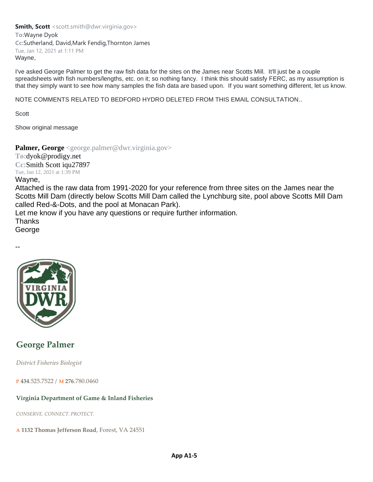**Smith, Scott** <scott.smith@dwr.virginia.gov> **To:**Wayne Dyok **Cc:**Sutherland, David,Mark Fendig,Thornton James Tue, Jan 12, 2021 at 1:11 PM Wayne,

I've asked George Palmer to get the raw fish data for the sites on the James near Scotts Mill. It'll just be a couple spreadsheets with fish numbers/lengths, etc. on it; so nothing fancy. I think this should satisfy FERC, as my assumption is that they simply want to see how many samples the fish data are based upon. If you want something different, let us know.

NOTE COMMENTS RELATED TO BEDFORD HYDRO DELETED FROM THIS EMAIL CONSULTATION..

**Scott** 

Show original message

Palmer, George <george.palmer@dwr.virginia.gov>

**To:**dyok@prodigy.net **Cc:**Smith Scott iqu27897 Tue, Jan 12, 2021 at 1:39 PM

### Wayne,

Attached is the raw data from 1991-2020 for your reference from three sites on the James near the Scotts Mill Dam (directly below Scotts Mill Dam called the Lynchburg site, pool above Scotts Mill Dam called Red-&-Dots, and the pool at Monacan Park).

Let me know if you have any questions or require further information.

**Thanks** 

George





# **George Palmer**

*District Fisheries Biologist*

**P 434**.525.7522 / **M 276**.780.0460

# **Virginia Department of Game & Inland Fisheries**

*CONSERVE. CONNECT. PROTECT.*

**A 1132 Thomas Jefferson Road**, Forest, VA 24551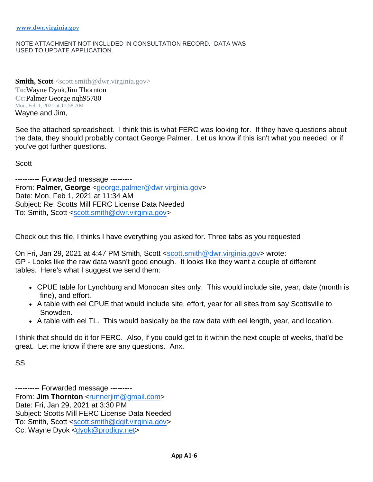#### NOTE ATTACHMENT NOT INCLUDED IN CONSULTATION RECORD. DATA WAS USED TO UPDATE APPLICATION.

**Smith, Scott** <scott.smith@dwr.virginia.gov> **To:**Wayne Dyok,Jim Thornton **Cc:**Palmer George nqh95780 Mon, Feb 1, 2021 at 11:58 AM Wayne and Jim,

See the attached spreadsheet. I think this is what FERC was looking for. If they have questions about the data, they should probably contact George Palmer. Let us know if this isn't what you needed, or if you've got further questions.

**Scott** 

---------- Forwarded message --------- From: **Palmer, George** [<george.palmer@dwr.virginia.gov>](mailto:george.palmer@dwr.virginia.gov) Date: Mon, Feb 1, 2021 at 11:34 AM Subject: Re: Scotts Mill FERC License Data Needed To: Smith, Scott [<scott.smith@dwr.virginia.gov>](mailto:scott.smith@dwr.virginia.gov)

Check out this file, I thinks I have everything you asked for. Three tabs as you requested

On Fri, Jan 29, 2021 at 4:47 PM Smith, Scott [<scott.smith@dwr.virginia.gov>](mailto:scott.smith@dwr.virginia.gov) wrote: GP - Looks like the raw data wasn't good enough. It looks like they want a couple of different tables. Here's what I suggest we send them:

- CPUE table for Lynchburg and Monocan sites only. This would include site, year, date (month is fine), and effort.
- A table with eel CPUE that would include site, effort, year for all sites from say Scottsville to Snowden.
- A table with eel TL. This would basically be the raw data with eel length, year, and location.

I think that should do it for FERC. Also, if you could get to it within the next couple of weeks, that'd be great. Let me know if there are any questions. Anx.

SS

---------- Forwarded message --------- From: **Jim Thornton** [<runnerjim@gmail.com>](mailto:runnerjim@gmail.com) Date: Fri, Jan 29, 2021 at 3:30 PM Subject: Scotts Mill FERC License Data Needed To: Smith, Scott [<scott.smith@dgif.virginia.gov>](mailto:scott.smith@dgif.virginia.gov) Cc: Wayne Dyok [<dyok@prodigy.net>](mailto:dyok@prodigy.net)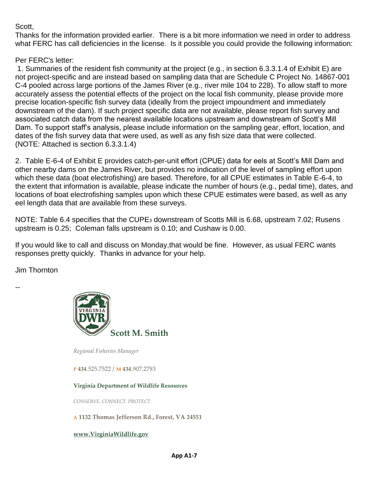Scott,

Thanks for the information provided earlier. There is a bit more information we need in order to address what FERC has call deficiencies in the license. Is it possible you could provide the following information:

Per FERC's letter:

1. Summaries of the resident fish community at the project (e.g., in section 6.3.3.1.4 of Exhibit E) are not project-specific and are instead based on sampling data that are Schedule C Project No. 14867-001 C-4 pooled across large portions of the James River (e.g., river mile 104 to 228). To allow staff to more accurately assess the potential effects of the project on the local fish community, please provide more precise location-specific fish survey data (ideally from the project impoundment and immediately downstream of the dam). If such project specific data are not available, please report fish survey and associated catch data from the nearest available locations upstream and downstream of Scott's Mill Dam. To support staff's analysis, please include information on the sampling gear, effort, location, and dates of the fish survey data that were used, as well as any fish size data that were collected. (NOTE: Attached is section 6.3.3.1.4)

2. Table E-6-4 of Exhibit E provides catch-per-unit effort (CPUE) data for eels at Scott's Mill Dam and other nearby dams on the James River, but provides no indication of the level of sampling effort upon which these data (boat electrofishing) are based. Therefore, for all CPUE estimates in Table E-6-4, to the extent that information is available, please indicate the number of hours (e.g., pedal time), dates, and locations of boat electrofishing samples upon which these CPUE estimates were based, as well as any eel length data that are available from these surveys.

NOTE: Table 6.4 specifies that the CUPE<sub>3</sub> downstream of Scotts Mill is 6.68, upstream 7.02; Rusens upstream is 0.25; Coleman falls upstream is 0.10; and Cushaw is 0.00.

If you would like to call and discuss on Monday,that would be fine. However, as usual FERC wants responses pretty quickly. Thanks in advance for your help.

Jim Thornton

--



*Regional Fisheries Manager*

**P 434**.525.7522 / **M 434**.907.2793

**Virginia Department of Wildlife Resources**

*CONSERVE. CONNECT. PROTECT.*

**A 1132 Thomas Jefferson Rd., Forest, VA 24551**

**[www.VirginiaWildlife.gov](http://www.dgif.virginia.gov/)**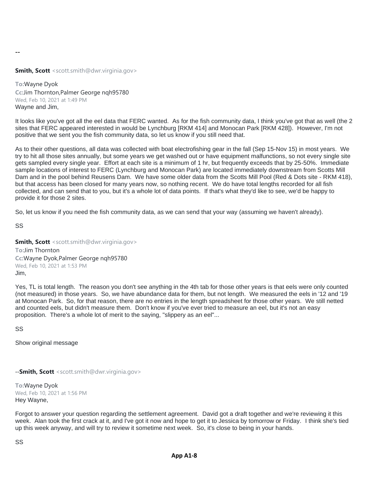--

**Smith, Scott** <scott.smith@dwr.virginia.gov>

**To:**Wayne Dyok **Cc:**Jim Thornton,Palmer George nqh95780 Wed, Feb 10, 2021 at 1:49 PM Wayne and Jim,

It looks like you've got all the eel data that FERC wanted. As for the fish community data, I think you've got that as well (the 2 sites that FERC appeared interested in would be Lynchburg [RKM 414] and Monocan Park [RKM 428]). However, I'm not positive that we sent you the fish community data, so let us know if you still need that.

As to their other questions, all data was collected with boat electrofishing gear in the fall (Sep 15-Nov 15) in most years. We try to hit all those sites annually, but some years we get washed out or have equipment malfunctions, so not every single site gets sampled every single year. Effort at each site is a minimum of 1 hr, but frequently exceeds that by 25-50%. Immediate sample locations of interest to FERC (Lynchburg and Monocan Park) are located immediately downstream from Scotts Mill Dam and in the pool behind Reusens Dam. We have some older data from the Scotts Mill Pool (Red & Dots site - RKM 418), but that access has been closed for many years now, so nothing recent. We do have total lengths recorded for all fish collected, and can send that to you, but it's a whole lot of data points. If that's what they'd like to see, we'd be happy to provide it for those 2 sites.

So, let us know if you need the fish community data, as we can send that your way (assuming we haven't already).

SS

**Smith, Scott** <scott.smith@dwr.virginia.gov> **To:**Jim Thornton **Cc:**Wayne Dyok,Palmer George nqh95780 Wed, Feb 10, 2021 at 1:53 PM Jim,

Yes, TL is total length. The reason you don't see anything in the 4th tab for those other years is that eels were only counted (not measured) in those years. So, we have abundance data for them, but not length. We measured the eels in '12 and '19 at Monocan Park. So, for that reason, there are no entries in the length spreadsheet for those other years. We still netted and counted eels, but didn't measure them. Don't know if you've ever tried to measure an eel, but it's not an easy proposition. There's a whole lot of merit to the saying, "slippery as an eel"...

SS

Show original message

--**Smith, Scott** <scott.smith@dwr.virginia.gov>

**To:**Wayne Dyok Wed, Feb 10, 2021 at 1:56 PM Hey Wayne,

Forgot to answer your question regarding the settlement agreement. David got a draft together and we're reviewing it this week. Alan took the first crack at it, and I've got it now and hope to get it to Jessica by tomorrow or Friday. I think she's tied up this week anyway, and will try to review it sometime next week. So, it's close to being in your hands.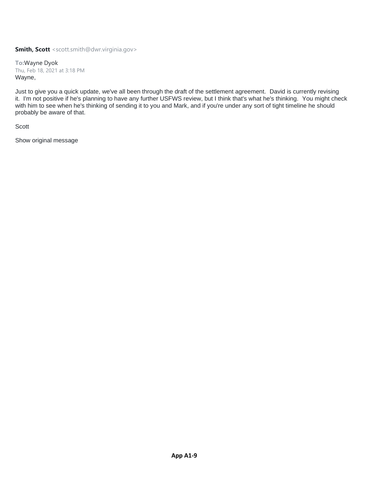**To:**Wayne Dyok Thu, Feb 18, 2021 at 3:18 PM Wayne,

Just to give you a quick update, we've all been through the draft of the settlement agreement. David is currently revising it. I'm not positive if he's planning to have any further USFWS review, but I think that's what he's thinking. You might check with him to see when he's thinking of sending it to you and Mark, and if you're under any sort of tight timeline he should probably be aware of that.

Scott

Show original message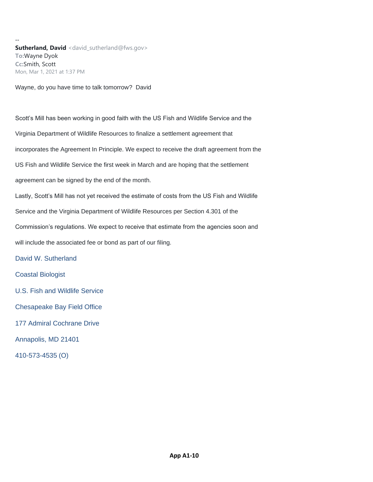-- **Sutherland, David** <david\_sutherland@fws.gov> **To:**Wayne Dyok **Cc:**Smith, Scott Mon, Mar 1, 2021 at 1:37 PM

Wayne, do you have time to talk tomorrow? David

Scott's Mill has been working in good faith with the US Fish and Wildlife Service and the Virginia Department of Wildlife Resources to finalize a settlement agreement that incorporates the Agreement In Principle. We expect to receive the draft agreement from the US Fish and Wildlife Service the first week in March and are hoping that the settlement agreement can be signed by the end of the month. Lastly, Scott's Mill has not yet received the estimate of costs from the US Fish and Wildlife Service and the Virginia Department of Wildlife Resources per Section 4.301 of the Commission's regulations. We expect to receive that estimate from the agencies soon and will include the associated fee or bond as part of our filing. David W. Sutherland Coastal Biologist U.S. Fish and Wildlife Service Chesapeake Bay Field Office 177 Admiral Cochrane Drive Annapolis, MD 21401

410-573-4535 (O)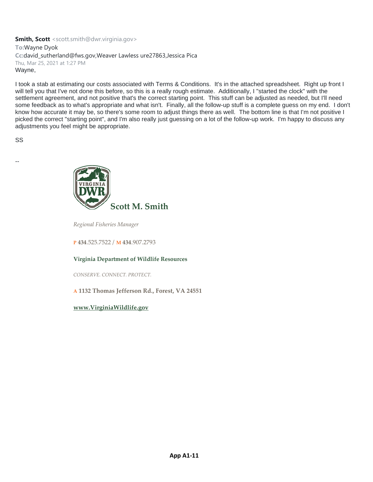**Smith, Scott** <scott.smith@dwr.virginia.gov> **To:**Wayne Dyok **Cc:**david\_sutherland@fws.gov,Weaver Lawless ure27863,Jessica Pica Thu, Mar 25, 2021 at 1:27 PM Wayne,

I took a stab at estimating our costs associated with Terms & Conditions. It's in the attached spreadsheet. Right up front I will tell you that I've not done this before, so this is a really rough estimate. Additionally, I "started the clock" with the settlement agreement, and not positive that's the correct starting point. This stuff can be adjusted as needed, but I'll need some feedback as to what's appropriate and what isn't. Finally, all the follow-up stuff is a complete guess on my end. I don't know how accurate it may be, so there's some room to adjust things there as well. The bottom line is that I'm not positive I picked the correct "starting point", and I'm also really just guessing on a lot of the follow-up work. I'm happy to discuss any adjustments you feel might be appropriate.

SS

--



*Regional Fisheries Manager*

**P 434**.525.7522 / **M 434**.907.2793

#### **Virginia Department of Wildlife Resources**

*CONSERVE. CONNECT. PROTECT.*

**A 1132 Thomas Jefferson Rd., Forest, VA 24551**

**[www.VirginiaWildlife.gov](http://www.dgif.virginia.gov/)**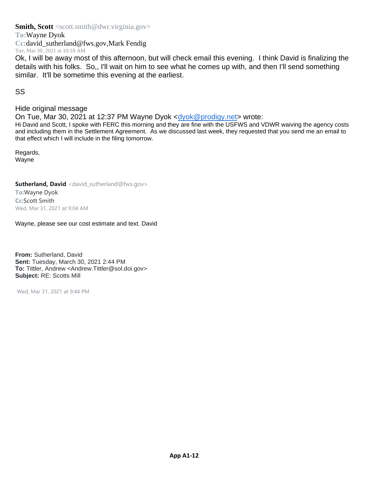**To:**Wayne Dyok

**Cc:**david\_sutherland@fws.gov,Mark Fendig Tue, Mar 30, 2021 at 10:18 AM

Ok, I will be away most of this afternoon, but will check email this evening. I think David is finalizing the details with his folks. So,, I'll wait on him to see what he comes up with, and then I'll send something similar. It'll be sometime this evening at the earliest.

SS

# Hide original message

On Tue, Mar 30, 2021 at 12:37 PM Wayne Dyok [<dyok@prodigy.net>](mailto:dyok@prodigy.net) wrote:

Hi David and Scott, I spoke with FERC this morning and they are fine with the USFWS and VDWR waiving the agency costs and including them in the Settlement Agreement. As we discussed last week, they requested that you send me an email to that effect which I will include in the filing tomorrow.

Regards, Wayne

**Sutherland, David** <david\_sutherland@fws.gov>

**To:**Wayne Dyok **Cc:**Scott Smith Wed, Mar 31, 2021 at 9:04 AM

Wayne, please see our cost estimate and text. David

**From:** Sutherland, David **Sent:** Tuesday, March 30, 2021 2:44 PM **To:** Tittler, Andrew <Andrew.Tittler@sol.doi.gov> **Subject:** RE: Scotts Mill

Wed, Mar 31, 2021 at 9:44 PM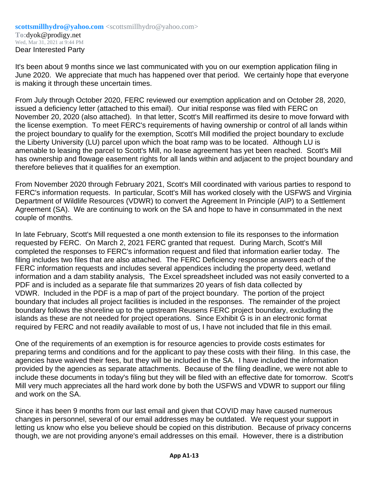It's been about 9 months since we last communicated with you on our exemption application filing in June 2020. We appreciate that much has happened over that period. We certainly hope that everyone is making it through these uncertain times.

From July through October 2020, FERC reviewed our exemption application and on October 28, 2020, issued a deficiency letter (attached to this email). Our initial response was filed with FERC on November 20, 2020 (also attached). In that letter, Scott's Mill reaffirmed its desire to move forward with the license exemption. To meet FERC's requirements of having ownership or control of all lands within the project boundary to qualify for the exemption, Scott's Mill modified the project boundary to exclude the Liberty University (LU) parcel upon which the boat ramp was to be located. Although LU is amenable to leasing the parcel to Scott's Mill, no lease agreement has yet been reached. Scott's Mill has ownership and flowage easement rights for all lands within and adjacent to the project boundary and therefore believes that it qualifies for an exemption.

From November 2020 through February 2021, Scott's Mill coordinated with various parties to respond to FERC's information requests. In particular, Scott's Mill has worked closely with the USFWS and Virginia Department of Wildlife Resources (VDWR) to convert the Agreement In Principle (AIP) to a Settlement Agreement (SA). We are continuing to work on the SA and hope to have in consummated in the next couple of months.

In late February, Scott's Mill requested a one month extension to file its responses to the information requested by FERC. On March 2, 2021 FERC granted that request. During March, Scott's Mill completed the responses to FERC's information request and filed that information earlier today. The filing includes two files that are also attached. The FERC Deficiency response answers each of the FERC information requests and includes several appendices including the property deed, wetland information and a dam stability analysis, The Excel spreadsheet included was not easily converted to a PDF and is included as a separate file that summarizes 20 years of fish data collected by VDWR. Included in the PDF is a map of part of the project boundary. The portion of the project boundary that includes all project facilities is included in the responses. The remainder of the project boundary follows the shoreline up to the upstream Reusens FERC project boundary, excluding the islands as these are not needed for project operations. Since Exhibit G is in an electronic format required by FERC and not readily available to most of us, I have not included that file in this email.

One of the requirements of an exemption is for resource agencies to provide costs estimates for preparing terms and conditions and for the applicant to pay these costs with their filing. In this case, the agencies have waived their fees, but they will be included in the SA. I have included the information provided by the agencies as separate attachments. Because of the filing deadline, we were not able to include these documents in today's filing but they will be filed with an effective date for tomorrow. Scott's Mill very much appreciates all the hard work done by both the USFWS and VDWR to support our filing and work on the SA.

Since it has been 9 months from our last email and given that COVID may have caused numerous changes in personnel, several of our email addresses may be outdated. We request your support in letting us know who else you believe should be copied on this distribution. Because of privacy concerns though, we are not providing anyone's email addresses on this email. However, there is a distribution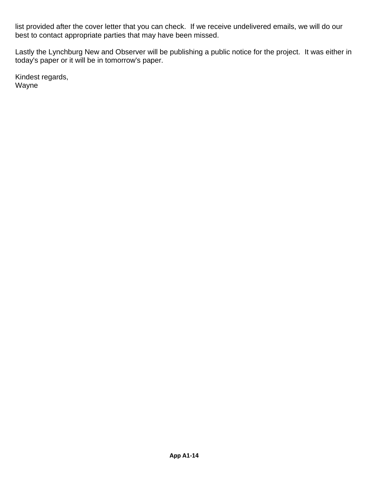list provided after the cover letter that you can check. If we receive undelivered emails, we will do our best to contact appropriate parties that may have been missed.

Lastly the Lynchburg New and Observer will be publishing a public notice for the project. It was either in today's paper or it will be in tomorrow's paper.

Kindest regards, Wayne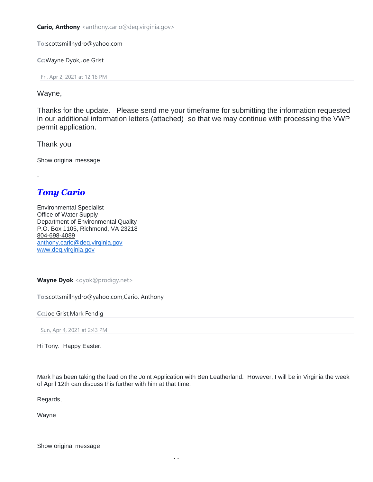**Cario, Anthony** <anthony.cario@deq.virginia.gov>

**To:**scottsmillhydro@yahoo.com

**Cc:**Wayne Dyok,Joe Grist

Fri, Apr 2, 2021 at 12:16 PM

Wayne,

Thanks for the update. Please send me your timeframe for submitting the information requested in our additional information letters (attached) so that we may continue with processing the VWP permit application.

Thank you

-

Show original message

# *Tony Cario*

Environmental Specialist Office of Water Supply Department of Environmental Quality P.O. Box 1105, Richmond, VA 23218 804-698-4089 [anthony.cario@deq.virginia.gov](mailto:anthony.cario@deq.virginia.gov) [www.deq.virginia.gov](http://www.deq.virginia.gov/)

**Wayne Dyok** <dyok@prodigy.net>

**To:**scottsmillhydro@yahoo.com,Cario, Anthony

**Cc:**Joe Grist,Mark Fendig

Sun, Apr 4, 2021 at 2:43 PM

Hi Tony. Happy Easter.

Mark has been taking the lead on the Joint Application with Ben Leatherland. However, I will be in Virginia the week of April 12th can discuss this further with him at that time.

Regards,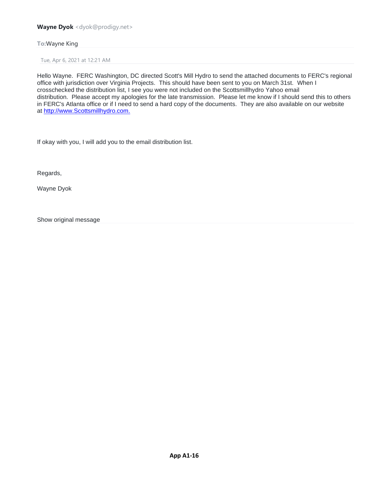#### **Wayne Dyok** <dyok@prodigy.net>

#### **To:**Wayne King

Tue, Apr 6, 2021 at 12:21 AM

Hello Wayne. FERC Washington, DC directed Scott's Mill Hydro to send the attached documents to FERC's regional office with jurisdiction over Virginia Projects. This should have been sent to you on March 31st. When I crosschecked the distribution list, I see you were not included on the Scottsmillhydro Yahoo email distribution. Please accept my apologies for the late transmission. Please let me know if I should send this to others in FERC's Atlanta office or if I need to send a hard copy of the documents. They are also available on our website at [http://www.Scottsmillhydro.com.](http://www.scottsmillhydro.com./) 

If okay with you, I will add you to the email distribution list.

Regards,

Wayne Dyok

Show original message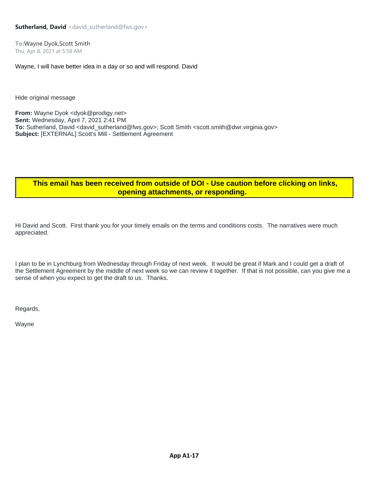**To:**Wayne Dyok,Scott Smith Thu, Apr 8, 2021 at 5:58 AM

Wayne, I will have better idea in a day or so and will respond. David

Hide original message

**From:** Wayne Dyok <dyok@prodigy.net> **Sent:** Wednesday, April 7, 2021 2:41 PM **To:** Sutherland, David <david\_sutherland@fws.gov>; Scott Smith <scott.smith@dwr.virginia.gov> **Subject:** [EXTERNAL] Scott's Mill - Settlement Agreement

# **This email has been received from outside of DOI - Use caution before clicking on links, opening attachments, or responding.**

Hi David and Scott. First thank you for your timely emails on the terms and conditions costs. The narratives were much appreciated.

I plan to be in Lynchburg from Wednesday through Friday of next week. It would be great if Mark and I could get a draft of the Settlement Agreement by the middle of next week so we can review it together. If that is not possible, can you give me a sense of when you expect to get the draft to us. Thanks.

Regards,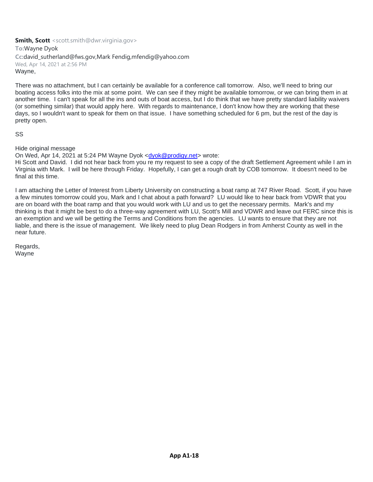**To:**Wayne Dyok **Cc:**david\_sutherland@fws.gov,Mark Fendig,mfendig@yahoo.com Wed, Apr 14, 2021 at 2:56 PM Wayne,

There was no attachment, but I can certainly be available for a conference call tomorrow. Also, we'll need to bring our boating access folks into the mix at some point. We can see if they might be available tomorrow, or we can bring them in at another time. I can't speak for all the ins and outs of boat access, but I do think that we have pretty standard liability waivers (or something similar) that would apply here. With regards to maintenance, I don't know how they are working that these days, so I wouldn't want to speak for them on that issue. I have something scheduled for 6 pm, but the rest of the day is pretty open.

SS

Hide original message

On Wed, Apr 14, 2021 at 5:24 PM Wayne Dyok [<dyok@prodigy.net>](mailto:dyok@prodigy.net) wrote:

Hi Scott and David. I did not hear back from you re my request to see a copy of the draft Settlement Agreement while I am in Virginia with Mark. I will be here through Friday. Hopefully, I can get a rough draft by COB tomorrow. It doesn't need to be final at this time.

I am attaching the Letter of Interest from Liberty University on constructing a boat ramp at 747 River Road. Scott, if you have a few minutes tomorrow could you, Mark and I chat about a path forward? LU would like to hear back from VDWR that you are on board with the boat ramp and that you would work with LU and us to get the necessary permits. Mark's and my thinking is that it might be best to do a three-way agreement with LU, Scott's Mill and VDWR and leave out FERC since this is an exemption and we will be getting the Terms and Conditions from the agencies. LU wants to ensure that they are not liable, and there is the issue of management. We likely need to plug Dean Rodgers in from Amherst County as well in the near future.

Regards, Wayne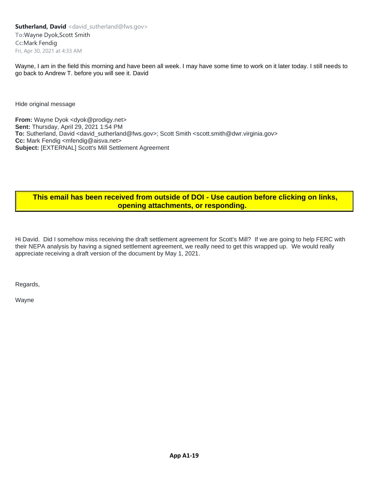**Sutherland, David** <david\_sutherland@fws.gov> **To:**Wayne Dyok,Scott Smith **Cc:**Mark Fendig Fri, Apr 30, 2021 at 4:33 AM

Wayne, I am in the field this morning and have been all week. I may have some time to work on it later today. I still needs to go back to Andrew T. before you will see it. David

Hide original message

From: Wayne Dyok <dyok@prodigy.net> **Sent:** Thursday, April 29, 2021 1:54 PM **To:** Sutherland, David <david\_sutherland@fws.gov>; Scott Smith <scott.smith@dwr.virginia.gov> **Cc:** Mark Fendig <mfendig@aisva.net> **Subject:** [EXTERNAL] Scott's Mill Settlement Agreement

# **This email has been received from outside of DOI - Use caution before clicking on links, opening attachments, or responding.**

Hi David. Did I somehow miss receiving the draft settlement agreement for Scott's Mill? If we are going to help FERC with their NEPA analysis by having a signed settlement agreement, we really need to get this wrapped up. We would really appreciate receiving a draft version of the document by May 1, 2021.

Regards,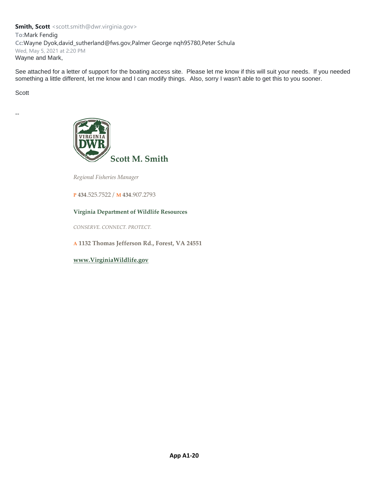#### **Smith, Scott** <scott.smith@dwr.virginia.gov> **To:**Mark Fendig **Cc:**Wayne Dyok,david\_sutherland@fws.gov,Palmer George nqh95780,Peter Schula Wed, May 5, 2021 at 2:20 PM Wayne and Mark,

See attached for a letter of support for the boating access site. Please let me know if this will suit your needs. If you needed something a little different, let me know and I can modify things. Also, sorry I wasn't able to get this to you sooner.

Scott

--



*Regional Fisheries Manager*

**P 434**.525.7522 / **M 434**.907.2793

#### **Virginia Department of Wildlife Resources**

*CONSERVE. CONNECT. PROTECT.*

**A 1132 Thomas Jefferson Rd., Forest, VA 24551**

**[www.VirginiaWildlife.gov](http://www.dgif.virginia.gov/)**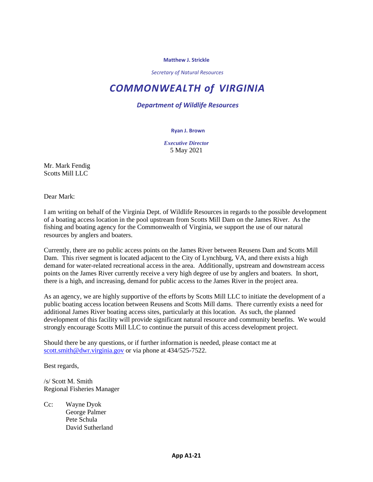#### **Matthew J. Strickle**

*Secretary of Natural Resources*

# *COMMONWEALTH of VIRGINIA*

*Department of Wildlife Resources*

#### **Ryan J. Brown**

*Executive Director* 5 May 2021

Mr. Mark Fendig Scotts Mill LLC

Dear Mark:

I am writing on behalf of the Virginia Dept. of Wildlife Resources in regards to the possible development of a boating access location in the pool upstream from Scotts Mill Dam on the James River. As the fishing and boating agency for the Commonwealth of Virginia, we support the use of our natural resources by anglers and boaters.

Currently, there are no public access points on the James River between Reusens Dam and Scotts Mill Dam. This river segment is located adjacent to the City of Lynchburg, VA, and there exists a high demand for water-related recreational access in the area. Additionally, upstream and downstream access points on the James River currently receive a very high degree of use by anglers and boaters. In short, there is a high, and increasing, demand for public access to the James River in the project area.

As an agency, we are highly supportive of the efforts by Scotts Mill LLC to initiate the development of a public boating access location between Reusens and Scotts Mill dams. There currently exists a need for additional James River boating access sites, particularly at this location. As such, the planned development of this facility will provide significant natural resource and community benefits. We would strongly encourage Scotts Mill LLC to continue the pursuit of this access development project.

Should there be any questions, or if further information is needed, please contact me at [scott.smith@dwr.virginia.gov](mailto:scott.smith@dwr.virginia.gov) or via phone at 434/525-7522.

Best regards,

/s/ Scott M. Smith Regional Fisheries Manager

Cc: Wayne Dyok George Palmer Pete Schula David Sutherland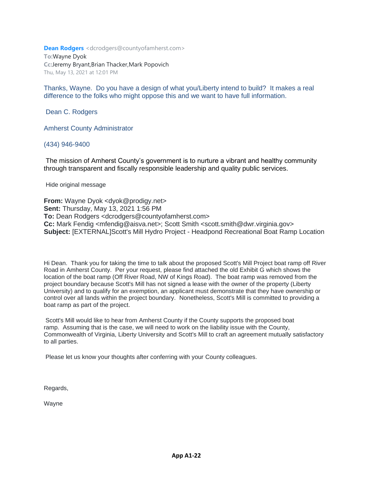**Dean Rodgers** <dcrodgers@countyofamherst.com> **To:**Wayne Dyok

**Cc:**Jeremy Bryant,Brian Thacker,Mark Popovich Thu, May 13, 2021 at 12:01 PM

Thanks, Wayne. Do you have a design of what you/Liberty intend to build? It makes a real difference to the folks who might oppose this and we want to have full information.

Dean C. Rodgers

Amherst County Administrator

(434) 946-9400

The mission of Amherst County's government is to nurture a vibrant and healthy community through transparent and fiscally responsible leadership and quality public services.

Hide original message

**From:** Wayne Dyok <dyok@prodigy.net> **Sent:** Thursday, May 13, 2021 1:56 PM **To:** Dean Rodgers <dcrodgers@countyofamherst.com> **Cc:** Mark Fendig <mfendig@aisva.net>; Scott Smith <scott.smith@dwr.virginia.gov> **Subject:** [EXTERNAL]Scott's Mill Hydro Project - Headpond Recreational Boat Ramp Location

Hi Dean. Thank you for taking the time to talk about the proposed Scott's Mill Project boat ramp off River Road in Amherst County. Per your request, please find attached the old Exhibit G which shows the location of the boat ramp (Off River Road, NW of Kings Road). The boat ramp was removed from the project boundary because Scott's Mill has not signed a lease with the owner of the property (Liberty University) and to qualify for an exemption, an applicant must demonstrate that they have ownership or control over all lands within the project boundary. Nonetheless, Scott's Mill is committed to providing a boat ramp as part of the project.

Scott's Mill would like to hear from Amherst County if the County supports the proposed boat ramp. Assuming that is the case, we will need to work on the liability issue with the County, Commonwealth of Virginia, Liberty University and Scott's Mill to craft an agreement mutually satisfactory to all parties.

Please let us know your thoughts after conferring with your County colleagues.

Regards,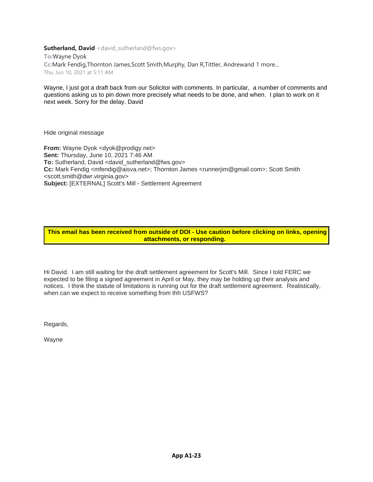**Sutherland, David** <david sutherland@fws.gov>

**To:**Wayne Dyok **Cc:**Mark Fendig,Thornton James,Scott Smith,Murphy, Dan R,Tittler, Andrewand 1 more... Thu, Jun 10, 2021 at 5:11 AM

Wayne, I just got a draft back from our Solicitor with comments. In particular, a number of comments and questions asking us to pin down more precisely what needs to be done, and when. I plan to work on it next week. Sorry for the delay. David

Hide original message

**From:** Wayne Dyok <dyok@prodigy.net> **Sent:** Thursday, June 10, 2021 7:46 AM **To:** Sutherland, David <david\_sutherland@fws.gov> **Cc:** Mark Fendig <mfendig@aisva.net>; Thornton James <runnerjim@gmail.com>; Scott Smith <scott.smith@dwr.virginia.gov> **Subject:** [EXTERNAL] Scott's Mill - Settlement Agreement

#### **This email has been received from outside of DOI - Use caution before clicking on links, opening attachments, or responding.**

Hi David. I am still waiting for the draft settlement agreement for Scott's Mill. Since I told FERC we expected to be filing a signed agreement in April or May, they may be holding up their analysis and notices. I think the statute of limitations is running out for the draft settlement agreement. Realistically, when can we expect to receive something from thh USFWS?

Regards,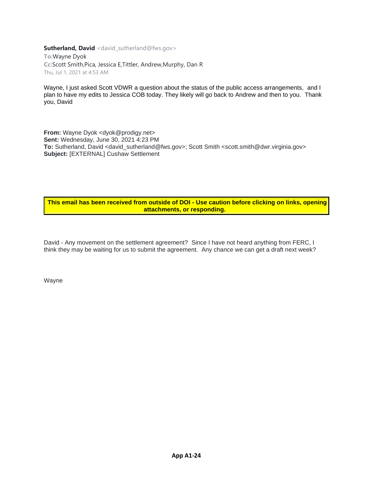**Sutherland, David** <david\_sutherland@fws.gov>

**To:**Wayne Dyok **Cc:**Scott Smith,Pica, Jessica E,Tittler, Andrew,Murphy, Dan R Thu, Jul 1, 2021 at 4:53 AM

Wayne, I just asked Scott VDWR a question about the status of the public access arrangements, and I plan to have my edits to Jessica COB today. They likely will go back to Andrew and then to you. Thank you, David

**From:** Wayne Dyok <dyok@prodigy.net> **Sent:** Wednesday, June 30, 2021 4:23 PM To: Sutherland, David <david\_sutherland@fws.gov>; Scott Smith <scott.smith@dwr.virginia.gov> **Subject:** [EXTERNAL] Cushaw Settlement

#### **This email has been received from outside of DOI - Use caution before clicking on links, opening attachments, or responding.**

David - Any movement on the settlement agreement? Since I have not heard anything from FERC, I think they may be waiting for us to submit the agreement. Any chance we can get a draft next week?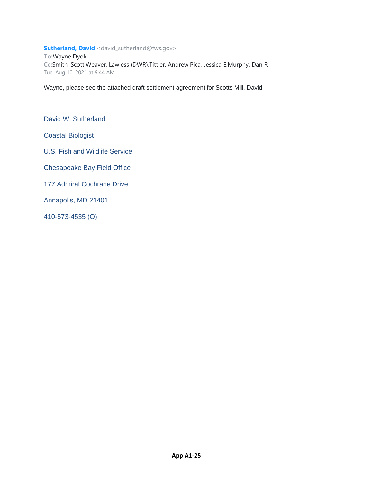#### **Sutherland, David** <david\_sutherland@fws.gov>

**To:**Wayne Dyok **Cc:**Smith, Scott,Weaver, Lawless (DWR),Tittler, Andrew,Pica, Jessica E,Murphy, Dan R Tue, Aug 10, 2021 at 9:44 AM

Wayne, please see the attached draft settlement agreement for Scotts Mill. David

David W. Sutherland

Coastal Biologist

U.S. Fish and Wildlife Service

Chesapeake Bay Field Office

177 Admiral Cochrane Drive

Annapolis, MD 21401

410-573-4535 (O)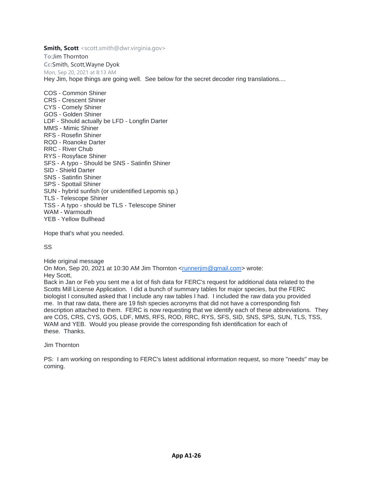**To:**Jim Thornton **Cc:**Smith, Scott,Wayne Dyok Mon, Sep 20, 2021 at 8:13 AM Hey Jim, hope things are going well. See below for the secret decoder ring translations....

COS - Common Shiner CRS - Crescent Shiner CYS - Comely Shiner GOS - Golden Shiner LDF - Should actually be LFD - Longfin Darter MMS - Mimic Shiner RFS - Rosefin Shiner ROD - Roanoke Darter RRC - River Chub RYS - Rosyface Shiner SFS - A typo - Should be SNS - Satinfin Shiner SID - Shield Darter SNS - Satinfin Shiner SPS - Spottail Shiner SUN - hybrid sunfish (or unidentified Lepomis sp.) TLS - Telescope Shiner TSS - A typo - should be TLS - Telescope Shiner WAM - Warmouth YEB - Yellow Bullhead

Hope that's what you needed.

SS

Hide original message On Mon, Sep 20, 2021 at 10:30 AM Jim Thornton [<runnerjim@gmail.com>](mailto:runnerjim@gmail.com) wrote: Hey Scott, Back in Jan or Feb you sent me a lot of fish data for FERC's request for additional data related to the Scotts Mill License Application. I did a bunch of summary tables for major species, but the FERC biologist I consulted asked that I include any raw tables I had. I included the raw data you provided me. In that raw data, there are 19 fish species acronyms that did not have a corresponding fish description attached to them. FERC is now requesting that we identify each of these abbreviations. They are COS, CRS, CYS, GOS, LDF, MMS, RFS, ROD, RRC, RYS, SFS, SID, SNS, SPS, SUN, TLS, TSS, WAM and YEB. Would you please provide the corresponding fish identification for each of these. Thanks.

Jim Thornton

PS: I am working on responding to FERC's latest additional information request, so more "needs" may be coming.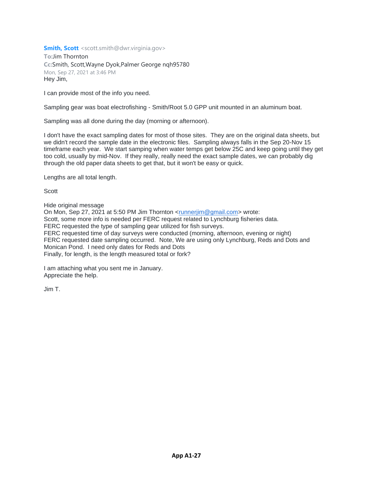**To:**Jim Thornton **Cc:**Smith, Scott,Wayne Dyok,Palmer George nqh95780 Mon, Sep 27, 2021 at 3:46 PM Hey Jim,

I can provide most of the info you need.

Sampling gear was boat electrofishing - Smith/Root 5.0 GPP unit mounted in an aluminum boat.

Sampling was all done during the day (morning or afternoon).

I don't have the exact sampling dates for most of those sites. They are on the original data sheets, but we didn't record the sample date in the electronic files. Sampling always falls in the Sep 20-Nov 15 timeframe each year. We start samping when water temps get below 25C and keep going until they get too cold, usually by mid-Nov. If they really, really need the exact sample dates, we can probably dig through the old paper data sheets to get that, but it won't be easy or quick.

Lengths are all total length.

Scott

Hide original message

On Mon, Sep 27, 2021 at 5:50 PM Jim Thornton [<runnerjim@gmail.com>](mailto:runnerjim@gmail.com) wrote: Scott, some more info is needed per FERC request related to Lynchburg fisheries data. FERC requested the type of sampling gear utilized for fish surveys. FERC requested time of day surveys were conducted (morning, afternoon, evening or night)

FERC requested date sampling occurred. Note, We are using only Lynchburg, Reds and Dots and Monican Pond. I need only dates for Reds and Dots

Finally, for length, is the length measured total or fork?

I am attaching what you sent me in January. Appreciate the help.

Jim T.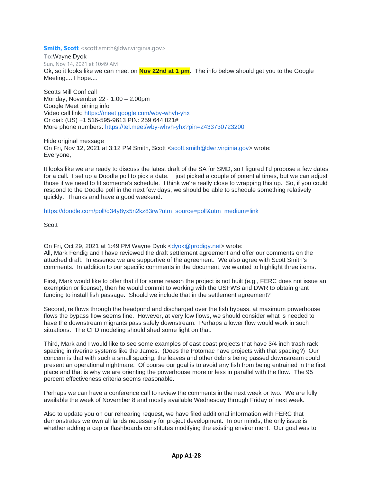**To:**Wayne Dyok Sun, Nov 14, 2021 at 10:49 AM Ok, so it looks like we can meet on **Nov 22nd at 1 pm**. The info below should get you to the Google Meeting.... I hope....

Scotts Mill Conf call Monday, November 22 · 1:00 – 2:00pm Google Meet joining info Video call link: <https://meet.google.com/wby-whvh-yhx> Or dial: (US) +1 516-595-9613 PIN: 259 644 021# More phone numbers: <https://tel.meet/wby-whvh-yhx?pin=2433730723200>

Hide original message On Fri, Nov 12, 2021 at 3:12 PM Smith, Scott [<scott.smith@dwr.virginia.gov>](mailto:scott.smith@dwr.virginia.gov) wrote: Everyone,

It looks like we are ready to discuss the latest draft of the SA for SMD, so I figured I'd propose a few dates for a call. I set up a Doodle poll to pick a date. I just picked a couple of potential times, but we can adjust those if we need to fit someone's schedule. I think we're really close to wrapping this up. So, if you could respond to the Doodle poll in the next few days, we should be able to schedule something relatively quickly. Thanks and have a good weekend.

[https://doodle.com/poll/d34y8yx5n2kz83rw?utm\\_source=poll&utm\\_medium=link](https://doodle.com/poll/d34y8yx5n2kz83rw?utm_source=poll&utm_medium=link)

Scott

On Fri, Oct 29, 2021 at 1:49 PM Wayne Dyok [<dyok@prodigy.net>](mailto:dyok@prodigy.net) wrote: All, Mark Fendig and I have reviewed the draft settlement agreement and offer our comments on the attached draft. In essence we are supportive of the agreement. We also agree with Scott Smith's comments. In addition to our specific comments in the document, we wanted to highlight three items.

First, Mark would like to offer that if for some reason the project is not built (e.g., FERC does not issue an exemption or license), then he would commit to working with the USFWS and DWR to obtain grant funding to install fish passage. Should we include that in the settlement agreement?

Second, re flows through the headpond and discharged over the fish bypass, at maximum powerhouse flows the bypass flow seems fine. However, at very low flows, we should consider what is needed to have the downstream migrants pass safely downstream. Perhaps a lower flow would work in such situations. The CFD modeling should shed some light on that.

Third, Mark and I would like to see some examples of east coast projects that have 3/4 inch trash rack spacing in riverine systems like the James. (Does the Potomac have projects with that spacing?) Our concern is that with such a small spacing, the leaves and other debris being passed downstream could present an operational nightmare. Of course our goal is to avoid any fish from being entrained in the first place and that is why we are orienting the powerhouse more or less in parallel with the flow. The 95 percent effectiveness criteria seems reasonable.

Perhaps we can have a conference call to review the comments in the next week or two. We are fully available the week of November 8 and mostly available Wednesday through Friday of next week.

Also to update you on our rehearing request, we have filed additional information with FERC that demonstrates we own all lands necessary for project development. In our minds, the only issue is whether adding a cap or flashboards constitutes modifying the existing environment. Our goal was to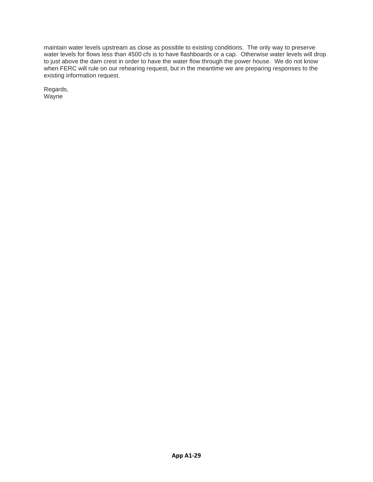maintain water levels upstream as close as possible to existing conditions. The only way to preserve water levels for flows less than 4500 cfs is to have flashboards or a cap. Otherwise water levels will drop to just above the dam crest in order to have the water flow through the power house. We do not know when FERC will rule on our rehearing request, but in the meantime we are preparing responses to the existing information request.

Regards, Wayne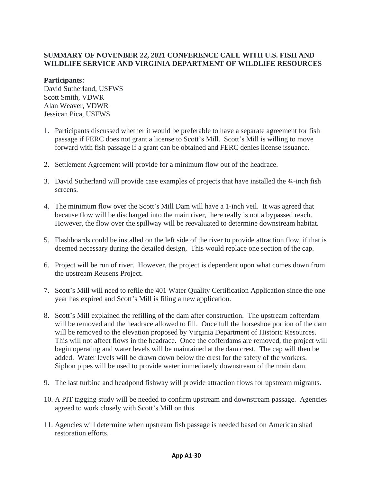# **SUMMARY OF NOVENBER 22, 2021 CONFERENCE CALL WITH U.S. FISH AND WILDLIFE SERVICE AND VIRGINIA DEPARTMENT OF WILDLIFE RESOURCES**

## **Participants:**

David Sutherland, USFWS Scott Smith, VDWR Alan Weaver, VDWR Jessican Pica, USFWS

- 1. Participants discussed whether it would be preferable to have a separate agreement for fish passage if FERC does not grant a license to Scott's Mill. Scott's Mill is willing to move forward with fish passage if a grant can be obtained and FERC denies license issuance.
- 2. Settlement Agreement will provide for a minimum flow out of the headrace.
- 3. David Sutherland will provide case examples of projects that have installed the ¾-inch fish screens.
- 4. The minimum flow over the Scott's Mill Dam will have a 1-inch veil. It was agreed that because flow will be discharged into the main river, there really is not a bypassed reach. However, the flow over the spillway will be reevaluated to determine downstream habitat.
- 5. Flashboards could be installed on the left side of the river to provide attraction flow, if that is deemed necessary during the detailed design, This would replace one section of the cap.
- 6. Project will be run of river. However, the project is dependent upon what comes down from the upstream Reusens Project.
- 7. Scott's Mill will need to refile the 401 Water Quality Certification Application since the one year has expired and Scott's Mill is filing a new application.
- 8. Scott's Mill explained the refilling of the dam after construction. The upstream cofferdam will be removed and the headrace allowed to fill. Once full the horseshoe portion of the dam will be removed to the elevation proposed by Virginia Department of Historic Resources. This will not affect flows in the headrace. Once the cofferdams are removed, the project will begin operating and water levels will be maintained at the dam crest. The cap will then be added. Water levels will be drawn down below the crest for the safety of the workers. Siphon pipes will be used to provide water immediately downstream of the main dam.
- 9. The last turbine and headpond fishway will provide attraction flows for upstream migrants.
- 10. A PIT tagging study will be needed to confirm upstream and downstream passage. Agencies agreed to work closely with Scott's Mill on this.
- 11. Agencies will determine when upstream fish passage is needed based on American shad restoration efforts.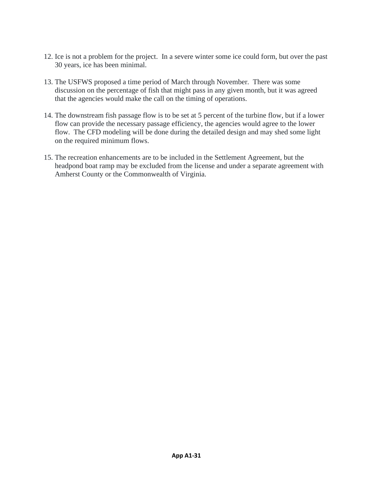- 12. Ice is not a problem for the project. In a severe winter some ice could form, but over the past 30 years, ice has been minimal.
- 13. The USFWS proposed a time period of March through November. There was some discussion on the percentage of fish that might pass in any given month, but it was agreed that the agencies would make the call on the timing of operations.
- 14. The downstream fish passage flow is to be set at 5 percent of the turbine flow, but if a lower flow can provide the necessary passage efficiency, the agencies would agree to the lower flow. The CFD modeling will be done during the detailed design and may shed some light on the required minimum flows.
- 15. The recreation enhancements are to be included in the Settlement Agreement, but the headpond boat ramp may be excluded from the license and under a separate agreement with Amherst County or the Commonwealth of Virginia.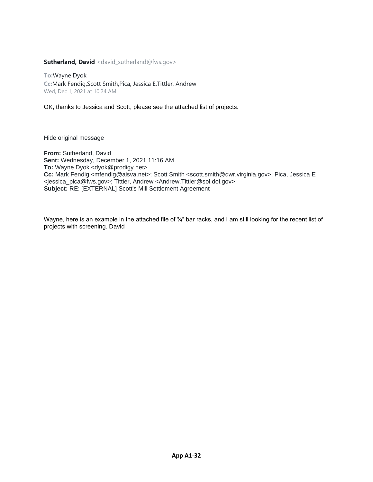**Sutherland, David** <david\_sutherland@fws.gov>

**To:**Wayne Dyok **Cc:**Mark Fendig,Scott Smith,Pica, Jessica E,Tittler, Andrew Wed, Dec 1, 2021 at 10:24 AM

OK, thanks to Jessica and Scott, please see the attached list of projects.

Hide original message

**From:** Sutherland, David **Sent:** Wednesday, December 1, 2021 11:16 AM **To:** Wayne Dyok <dyok@prodigy.net> **Cc:** Mark Fendig <mfendig@aisva.net>; Scott Smith <scott.smith@dwr.virginia.gov>; Pica, Jessica E <jessica\_pica@fws.gov>; Tittler, Andrew <Andrew.Tittler@sol.doi.gov> **Subject:** RE: [EXTERNAL] Scott's Mill Settlement Agreement

Wayne, here is an example in the attached file of 3<sup>4"</sup> bar racks, and I am still looking for the recent list of projects with screening. David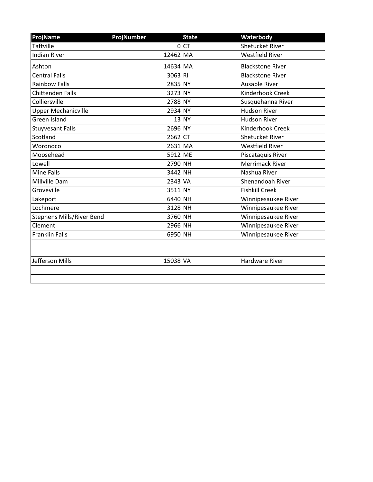| ProjName                         | <b>ProjNumber</b> | <b>State</b> | Waterbody               |
|----------------------------------|-------------------|--------------|-------------------------|
| <b>Taftville</b>                 |                   | 0 CT         | <b>Shetucket River</b>  |
| <b>Indian River</b>              |                   | 12462 MA     | <b>Westfield River</b>  |
| Ashton                           |                   | 14634 MA     | <b>Blackstone River</b> |
| <b>Central Falls</b>             |                   | 3063 RI      | <b>Blackstone River</b> |
| <b>Rainbow Falls</b>             |                   | 2835 NY      | <b>Ausable River</b>    |
| <b>Chittenden Falls</b>          |                   | 3273 NY      | Kinderhook Creek        |
| Colliersville                    |                   | 2788 NY      | Susquehanna River       |
| <b>Upper Mechanicville</b>       |                   | 2934 NY      | <b>Hudson River</b>     |
| Green Island                     |                   | 13 NY        | <b>Hudson River</b>     |
| <b>Stuyvesant Falls</b>          |                   | 2696 NY      | Kinderhook Creek        |
| Scotland                         |                   | 2662 CT      | <b>Shetucket River</b>  |
| Woronoco                         |                   | 2631 MA      | <b>Westfield River</b>  |
| Moosehead                        |                   | 5912 ME      | Piscataquis River       |
| Lowell                           |                   | 2790 NH      | <b>Merrimack River</b>  |
| <b>Mine Falls</b>                |                   | 3442 NH      | Nashua River            |
| Millville Dam                    |                   | 2343 VA      | Shenandoah River        |
| Groveville                       |                   | 3511 NY      | <b>Fishkill Creek</b>   |
| Lakeport                         |                   | 6440 NH      | Winnipesaukee River     |
| Lochmere                         |                   | 3128 NH      | Winnipesaukee River     |
| <b>Stephens Mills/River Bend</b> |                   | 3760 NH      | Winnipesaukee River     |
| Clement                          |                   | 2966 NH      | Winnipesaukee River     |
| <b>Franklin Falls</b>            |                   | 6950 NH      | Winnipesaukee River     |
|                                  |                   |              |                         |
| Jefferson Mills                  |                   | 15038 VA     | <b>Hardware River</b>   |
|                                  |                   |              |                         |
|                                  |                   |              |                         |

L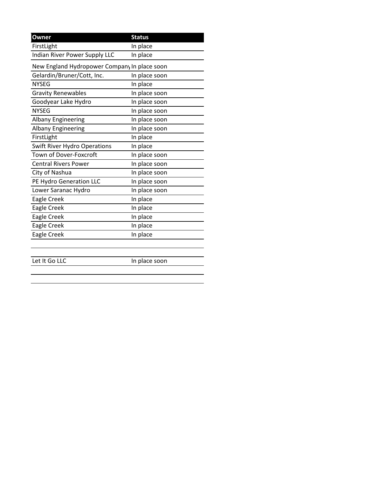| Owner                                        | <b>Status</b> |  |  |
|----------------------------------------------|---------------|--|--|
| FirstLight                                   | In place      |  |  |
| Indian River Power Supply LLC                | In place      |  |  |
| New England Hydropower Company In place soon |               |  |  |
| Gelardin/Bruner/Cott, Inc.                   | In place soon |  |  |
| <b>NYSEG</b>                                 | In place      |  |  |
| <b>Gravity Renewables</b>                    | In place soon |  |  |
| Goodyear Lake Hydro                          | In place soon |  |  |
| <b>NYSEG</b>                                 | In place soon |  |  |
| <b>Albany Engineering</b>                    | In place soon |  |  |
| <b>Albany Engineering</b>                    | In place soon |  |  |
| FirstLight                                   | In place      |  |  |
| <b>Swift River Hydro Operations</b>          | In place      |  |  |
| Town of Dover-Foxcroft                       | In place soon |  |  |
| <b>Central Rivers Power</b>                  | In place soon |  |  |
| City of Nashua                               | In place soon |  |  |
| PE Hydro Generation LLC                      | In place soon |  |  |
| Lower Saranac Hydro                          | In place soon |  |  |
| Eagle Creek                                  | In place      |  |  |
| Eagle Creek                                  | In place      |  |  |
| Eagle Creek                                  | In place      |  |  |
| Eagle Creek                                  | In place      |  |  |
| Eagle Creek                                  | In place      |  |  |
|                                              |               |  |  |
|                                              |               |  |  |

Let It Go LLC In place soon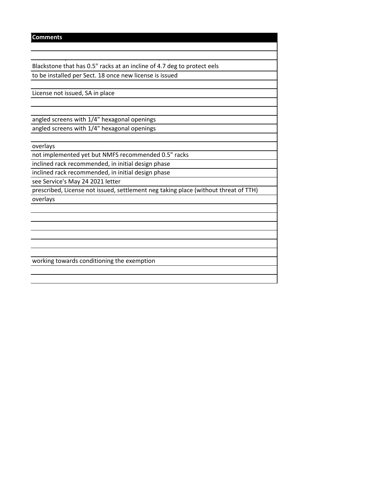## **Comments**

Blackstone that has 0.5" racks at an incline of 4.7 deg to protect eels to be installed per Sect. 18 once new license is issued

ownstream plan submitted to the Service on 9/17/2021 for the Ashton dam on the

License not issued, SA in place

angled screens with 1/4" hexagonal openings angled screens with 1/4" hexagonal openings

overlays

not implemented yet but NMFS recommended 0.5" racks

inclined rack recommended, in initial design phase

inclined rack recommended, in initial design phase

see Service's May 24 2021 letter

prescribed, License not issued, settlement neg taking place (without threat of TTH) overlays

working towards conditioning the exemption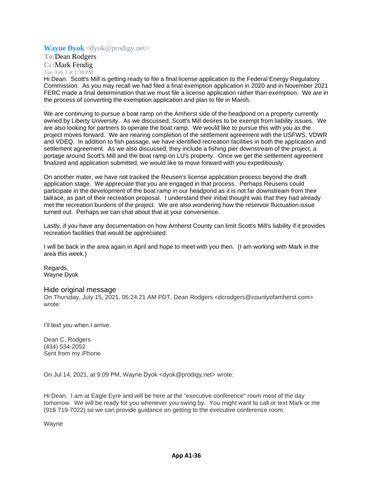## **Wayne Dyok** <dyok@prodigy.net>

**To:**Dean Rodgers **Cc:**Mark Fendig Tue, Feb 1 at 1:38 PM

Hi Dean. Scott's Mill is getting ready to file a final license application to the Federal Energy Regulatory Commission. As you may recall we had filed a final exemption application in 2020 and in November 2021 FERC made a final determination that we must file a license application rather than exemption. We are in the process of converting the exemption application and plan to file in March.

We are continuing to pursue a boat ramp on the Amherst side of the headpond on a property currently owned by Liberty University. As we discussed, Scott's Mill desires to be exempt from liability issues. We are also looking for partners to operate the boat ramp. We would like to pursue this with you as the project moves forward. We are nearing completion of the settlement agreement with the USFWS, VDWR and VDEQ. In addition to fish passage, we have identified recreation facilities in both the application and settlement agreement. As we also discussed, they include a fishing pier downstream of the project, a portage around Scott's Mill and the boat ramp on LU's property. Once we get the settlement agreement finalized and application submitted, we would like to move forward with you expeditiously.

On another mater, we have not tracked the Reusen's license application process beyond the draft application stage. We appreciate that you are engaged in that process. Perhaps Reusens could participate in the development of the boat ramp in our headpond as it is not far downstream from their tailrace, as part of their recreation proposal. I understand their initial thought was that they had already met the recreation burdens of the project. We are also wondering how the reservoir fluctuation issue turned out. Perhaps we can chat about that at your convenience.

Lastly, if you have any documentation on how Amherst County can limit Scott's Mill's liability if it provides recreation facilities that would be appreciated.

I will be back in the area again in April and hope to meet with you then. (I am working with Mark in the area this week.)

Regards, Wayne Dyok

#### Hide original message

On Thursday, July 15, 2021, 05:24:21 AM PDT, Dean Rodgers <dcrodgers@countyofamherst.com> wrote:

I'll text you when I arrive.

Dean C. Rodgers (434) 534-2052 Sent from my iPhone

On Jul 14, 2021, at 9:09 PM, Wayne Dyok <dyok@prodigy.net> wrote:

Hi Dean. I am at Eagle Eyre and will be here at the "executive conference" room most of the day tomorrow. We will be ready for you whenever you swing by. You might want to call or text Mark or me (916 719-7022) so we can provide guidance on getting to the executive conference room.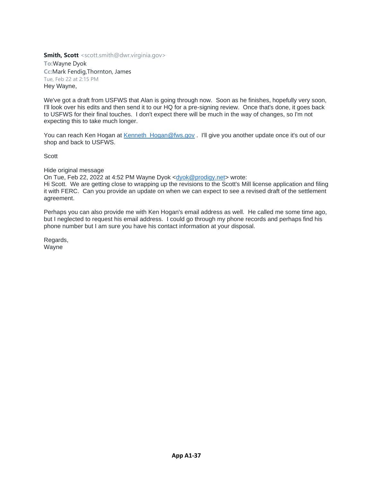**To:**Wayne Dyok **Cc:**Mark Fendig,Thornton, James Tue, Feb 22 at 2:15 PM Hey Wayne,

We've got a draft from USFWS that Alan is going through now. Soon as he finishes, hopefully very soon, I'll look over his edits and then send it to our HQ for a pre-signing review. Once that's done, it goes back to USFWS for their final touches. I don't expect there will be much in the way of changes, so I'm not expecting this to take much longer.

You can reach Ken Hogan at Kenneth Hogan@fws.gov . I'll give you another update once it's out of our shop and back to USFWS.

Scott

Hide original message

On Tue, Feb 22, 2022 at 4:52 PM Wayne Dyok [<dyok@prodigy.net>](mailto:dyok@prodigy.net) wrote:

Hi Scott. We are getting close to wrapping up the revisions to the Scott's Mill license application and filing it with FERC. Can you provide an update on when we can expect to see a revised draft of the settlement agreement.

Perhaps you can also provide me with Ken Hogan's email address as well. He called me some time ago, but I neglected to request his email address. I could go through my phone records and perhaps find his phone number but I am sure you have his contact information at your disposal.

Regards, Wayne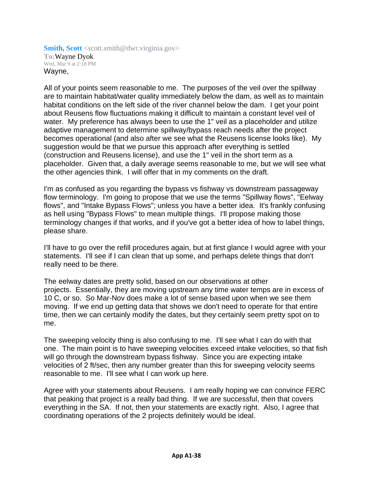**Smith, Scott** <scott.smith@dwr.virginia.gov> **To:**Wayne Dyok Wed, Mar 9 at 2:18 PM Wayne,

All of your points seem reasonable to me. The purposes of the veil over the spillway are to maintain habitat/water quality immediately below the dam, as well as to maintain habitat conditions on the left side of the river channel below the dam. I get your point about Reusens flow fluctuations making it difficult to maintain a constant level veil of water. My preference has always been to use the 1" veil as a placeholder and utilize adaptive management to determine spillway/bypass reach needs after the project becomes operational (and also after we see what the Reusens license looks like). My suggestion would be that we pursue this approach after everything is settled (construction and Reusens license), and use the 1" veil in the short term as a placeholder. Given that, a daily average seems reasonable to me, but we will see what the other agencies think. I will offer that in my comments on the draft.

I'm as confused as you regarding the bypass vs fishway vs downstream passageway flow terminology. I'm going to propose that we use the terms "Spillway flows", "Eelway flows", and "Intake Bypass Flows"; unless you have a better idea. It's frankly confusing as hell using "Bypass Flows" to mean multiple things. I'll propose making those terminology changes if that works, and if you've got a better idea of how to label things, please share.

I'll have to go over the refill procedures again, but at first glance I would agree with your statements. I'll see if I can clean that up some, and perhaps delete things that don't really need to be there.

The eelway dates are pretty solid, based on our observations at other projects. Essentially, they are moving upstream any time water temps are in excess of 10 C, or so. So Mar-Nov does make a lot of sense based upon when we see them moving. If we end up getting data that shows we don't need to operate for that entire time, then we can certainly modify the dates, but they certainly seem pretty spot on to me.

The sweeping velocity thing is also confusing to me. I'll see what I can do with that one. The main point is to have sweeping velocities exceed intake velocities, so that fish will go through the downstream bypass fishway. Since you are expecting intake velocities of 2 ft/sec, then any number greater than this for sweeping velocity seems reasonable to me. I'll see what I can work up here.

Agree with your statements about Reusens. I am really hoping we can convince FERC that peaking that project is a really bad thing. If we are successful, then that covers everything in the SA. If not, then your statements are exactly right. Also, I agree that coordinating operations of the 2 projects definitely would be ideal.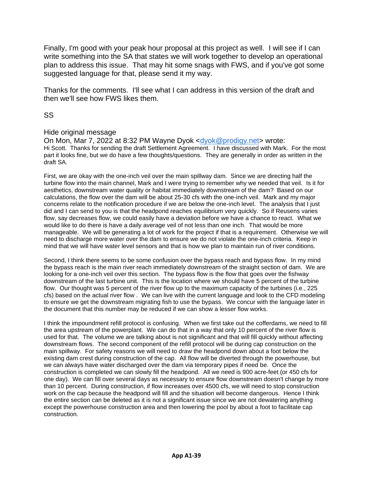Finally, I'm good with your peak hour proposal at this project as well. I will see if I can write something into the SA that states we will work together to develop an operational plan to address this issue. That may hit some snags with FWS, and if you've got some suggested language for that, please send it my way.

Thanks for the comments. I'll see what I can address in this version of the draft and then we'll see how FWS likes them.

SS

# Hide original message

On Mon, Mar 7, 2022 at 8:32 PM Wayne Dyok [<dyok@prodigy.net>](mailto:dyok@prodigy.net) wrote: Hi Scott. Thanks for sending the draft Settlement Agreement. I have discussed with Mark. For the most part it looks fine, but we do have a few thoughts/questions. They are generally in order as written in the draft SA.

First, we are okay with the one-inch veil over the main spillway dam. Since we are directing half the turbine flow into the main channel, Mark and I were trying to remember why we needed that veil. Is it for aesthetics, downstream water quality or habitat immediately downstream of the dam? Based on our calculations, the flow over the dam will be about 25-30 cfs with the one-inch veil. Mark and my major concerns relate to the notification procedure if we are below the one-inch level. The analysis that I just did and I can send to you is that the headpond reaches equilibrium very quickly. So if Reusens varies flow, say decreases flow, we could easily have a deviation before we have a chance to react. What we would like to do there is have a daily average veil of not less than one inch. That would be more manageable. We will be generating a lot of work for the project if that is a requirement. Otherwise we will need to discharge more water over the dam to ensure we do not violate the one-inch criteria. Keep in mind that we will have water level sensors and that is how we plan to maintain run of river conditions.

Second, I think there seems to be some confusion over the bypass reach and bypass flow. In my mind the bypass reach is the main river reach immediately downstream of the straight section of dam. We are looking for a one-inch veil over this section. The bypass flow is the flow that goes over the fishway downstream of the last turbine unit. This is the location where we should have 5 percent of the turbine flow. Our thought was 5 percent of the river flow up to the maximum capacity of the turbines (i.e., 225 cfs) based on the actual river flow . We can live with the current language and look to the CFD modeling to ensure we get the downstream migrating fish to use the bypass. We concur with the language later in the document that this number may be reduced if we can show a lesser flow works.

I think the impoundment refill protocol is confusing. When we first take out the cofferdams, we need to fill the area upstream of the powerplant. We can do that in a way that only 10 percent of the river flow is used for that. The volume we are talking about is not significant and that will fill quickly without affecting downstream flows. The second component of the refill protocol will be during cap construction on the main spillway. For safety reasons we will need to draw the headpond down about a foot below the existing dam crest during construction of the cap. All flow will be diverted through the powerhouse, but we can always have water discharged over the dam via temporary pipes if need be. Once the construction is completed we can slowly fill the headpond. All we need is 900 acre-feet (or 450 cfs for one day). We can fill over several days as necessary to ensure flow downstream doesn't change by more than 10 percent. During construction, if flow increases over 4500 cfs, we will need to stop construction work on the cap because the headpond will fill and the situation will become dangerous. Hence I think the entire section can be deleted as it is not a significant issue since we are not dewatering anything except the powerhouse construction area and then lowering the pool by about a foot to facilitate cap construction.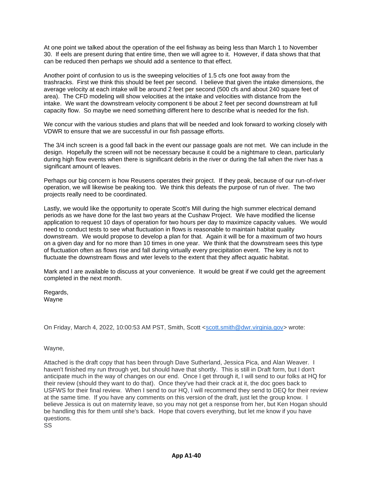At one point we talked about the operation of the eel fishway as being less than March 1 to November 30. If eels are present during that entire time, then we will agree to it. However, if data shows that that can be reduced then perhaps we should add a sentence to that effect.

Another point of confusion to us is the sweeping velocities of 1.5 cfs one foot away from the trashracks. First we think this should be feet per second. I believe that given the intake dimensions, the average velocity at each intake will be around 2 feet per second (500 cfs and about 240 square feet of area). The CFD modeling will show velocities at the intake and velocities with distance from the intake. We want the downstream velocity component ti be about 2 feet per second downstream at full capacity flow. So maybe we need something different here to describe what is needed for the fish.

We concur with the various studies and plans that will be needed and look forward to working closely with VDWR to ensure that we are successful in our fish passage efforts.

The 3/4 inch screen is a good fall back in the event our passage goals are not met. We can include in the design. Hopefully the screen will not be necessary because it could be a nightmare to clean, particularly during high flow events when there is significant debris in the river or during the fall when the river has a significant amount of leaves.

Perhaps our big concern is how Reusens operates their project. If they peak, because of our run-of-river operation, we will likewise be peaking too. We think this defeats the purpose of run of river. The two projects really need to be coordinated.

Lastly, we would like the opportunity to operate Scott's Mill during the high summer electrical demand periods as we have done for the last two years at the Cushaw Project. We have modified the license application to request 10 days of operation for two hours per day to maximize capacity values. We would need to conduct tests to see what fluctuation in flows is reasonable to maintain habitat quality downstream. We would propose to develop a plan for that. Again it will be for a maximum of two hours on a given day and for no more than 10 times in one year. We think that the downstream sees this type of fluctuation often as flows rise and fall during virtually every precipitation event. The key is not to fluctuate the downstream flows and wter levels to the extent that they affect aquatic habitat.

Mark and I are available to discuss at your convenience. It would be great if we could get the agreement completed in the next month.

Regards, Wayne

On Friday, March 4, 2022, 10:00:53 AM PST, Smith, Scott [<scott.smith@dwr.virginia.gov>](mailto:scott.smith@dwr.virginia.gov) wrote:

Wayne,

Attached is the draft copy that has been through Dave Sutherland, Jessica Pica, and Alan Weaver. I haven't finished my run through yet, but should have that shortly. This is still in Draft form, but I don't anticipate much in the way of changes on our end. Once I get through it, I will send to our folks at HQ for their review (should they want to do that). Once they've had their crack at it, the doc goes back to USFWS for their final review. When I send to our HQ, I will recommend they send to DEQ for their review at the same time. If you have any comments on this version of the draft, just let the group know. I believe Jessica is out on maternity leave, so you may not get a response from her, but Ken Hogan should be handling this for them until she's back. Hope that covers everything, but let me know if you have questions.

SS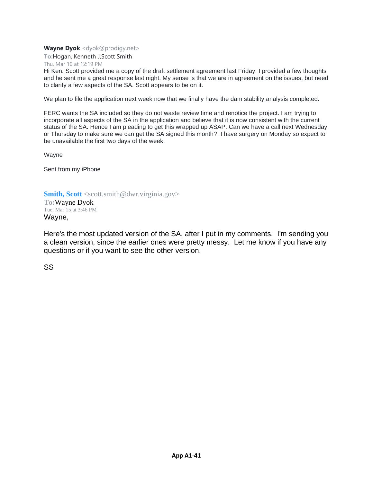**Wayne Dyok** <dyok@prodigy.net>

**To:**Hogan, Kenneth J,Scott Smith

Thu, Mar 10 at 12:19 PM

Hi Ken. Scott provided me a copy of the draft settlement agreement last Friday. I provided a few thoughts and he sent me a great response last night. My sense is that we are in agreement on the issues, but need to clarify a few aspects of the SA. Scott appears to be on it.

We plan to file the application next week now that we finally have the dam stability analysis completed.

FERC wants the SA included so they do not waste review time and renotice the project. I am trying to incorporate all aspects of the SA in the application and believe that it is now consistent with the current status of the SA. Hence I am pleading to get this wrapped up ASAP. Can we have a call next Wednesday or Thursday to make sure we can get the SA signed this month? I have surgery on Monday so expect to be unavailable the first two days of the week.

Wayne

Sent from my iPhone

**Smith, Scott** <scott.smith@dwr.virginia.gov>

**To:**Wayne Dyok Tue, Mar 15 at 3:46 PM Wayne,

Here's the most updated version of the SA, after I put in my comments. I'm sending you a clean version, since the earlier ones were pretty messy. Let me know if you have any questions or if you want to see the other version.

SS